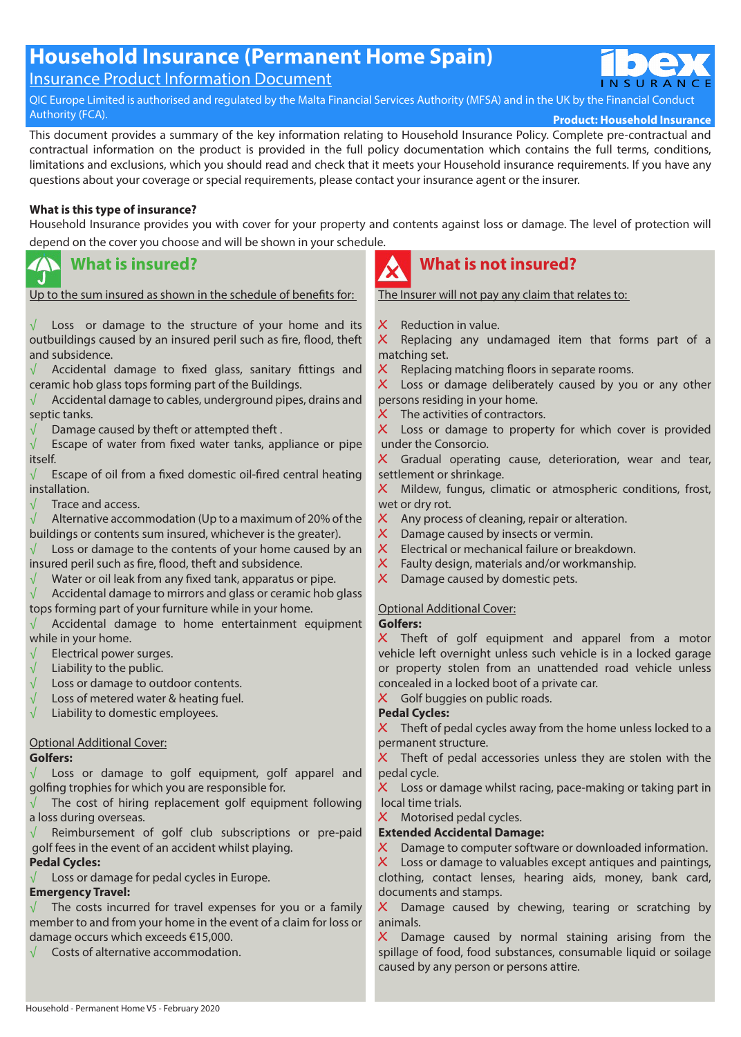# **Household Insurance (Permanent Home Spain)**

## Insurance Product Information Document

QIC Europe Limited is authorised and regulated by the Malta Financial Services Authority (MFSA) and in the UK by the Financial Conduct<br>Authority (FCA).

**Product: Household Insurance** 

This document provides a summary of the key information relating to Household Insurance Policy. Complete pre-contractual and contractual information on the product is provided in the full policy documentation which contains the full terms, conditions, limitations and exclusions, which you should read and check that it meets your Household insurance requirements. If you have any questions about your coverage or special requirements, please contact your insurance agent or the insurer.

#### **What is this type of insurance?**

Household Insurance provides you with cover for your property and contents against loss or damage. The level of protection will depend on the cover you choose and will be shown in your schedule.

#### **What is insured?** J.

Up to the sum insured as shown in the schedule of benefits for:

 $\sqrt{ }$  Loss or damage to the structure of your home and its outbuildings caused by an insured peril such as fire, flood, theft and subsidence.

 $\sqrt{ }$  Accidental damage to fixed glass, sanitary fittings and ceramic hob glass tops forming part of the Buildings.

Accidental damage to cables, underground pipes, drains and septic tanks.

 $\sqrt{\phantom{a}}$  Damage caused by theft or attempted theft.

 $\sqrt{\phantom{a}}$  Escape of water from fixed water tanks, appliance or pipe itself.

 $\sqrt{\phantom{a}}$  Escape of oil from a fixed domestic oil-fired central heating installation.

√ Trace and access.

 $\sqrt{\phantom{a}}$  Alternative accommodation (Up to a maximum of 20% of the buildings or contents sum insured, whichever is the greater).

 $\sqrt{\phantom{a}}$  Loss or damage to the contents of your home caused by an insured peril such as fire, flood, theft and subsidence.

 $\sqrt{\phantom{a}}$  Water or oil leak from any fixed tank, apparatus or pipe.

 $\sqrt{\phantom{a}}$  Accidental damage to mirrors and glass or ceramic hob glass tops forming part of your furniture while in your home.

 $\sqrt{\phantom{a}}$  Accidental damage to home entertainment equipment while in your home.

- Electrical power surges.
- $\sqrt{\phantom{a}}$  Liability to the public.
- $\sqrt{\phantom{a}}$  Loss or damage to outdoor contents.<br> $\sqrt{\phantom{a}}$  Loss of metered water & heating fuel.
- Loss of metered water & heating fuel.
- $\sqrt{\phantom{a}}$  Liability to domestic employees.

### Optional Additional Cover:

#### **Golfers:**

 $\sqrt{ }$  Loss or damage to golf equipment, golf apparel and golfing trophies for which you are responsible for.

 $\sqrt{\phantom{a}}$  The cost of hiring replacement golf equipment following a loss during overseas.

Reimbursement of golf club subscriptions or pre-paid golf fees in the event of an accident whilst playing.

### **Pedal Cycles:**

 $\sqrt{\phantom{a}}$  Loss or damage for pedal cycles in Europe.

### **Emergency Travel:**

 $\sqrt{ }$  The costs incurred for travel expenses for you or a family member to and from your home in the event of a claim for loss or damage occurs which exceeds €15,000.

√ Costs of alternative accommodation.



# **What is not insured?**

The Insurer will not pay any claim that relates to:

**،** Reduction in value.

**،** Replacing any undamaged item that forms part of a matching set.

**،** Replacing matching floors in separate rooms.

**،** Loss or damage deliberately caused by you or any other persons residing in your home.

**X** The activities of contractors.

**،** Loss or damage to property for which cover is provided under the Consorcio.

**،** Gradual operating cause, deterioration, wear and tear, settlement or shrinkage.

**،** Mildew, fungus, climatic or atmospheric conditions, frost, wet or dry rot.

- X Any process of cleaning, repair or alteration.
- **،** Damage caused by insects or vermin.
- **،** Electrical or mechanical failure or breakdown.
- **،** Faulty design, materials and/or workmanship.
- **،** Damage caused by domestic pets.

### Optional Additional Cover:

**Golfers:**

**،** Theft of golf equipment and apparel from a motor vehicle left overnight unless such vehicle is in a locked garage or property stolen from an unattended road vehicle unless concealed in a locked boot of a private car.

## **X** Golf buggies on public roads.

### **Pedal Cycles:**

X Theft of pedal cycles away from the home unless locked to a permanent structure.

X Theft of pedal accessories unless they are stolen with the pedal cycle.

**،** Loss or damage whilst racing, pace-making or taking part in local time trials.

**X** Motorised pedal cycles.

#### **Extended Accidental Damage:**

**،** Damage to computer software or downloaded information.

**،** Loss or damage to valuables except antiques and paintings, clothing, contact lenses, hearing aids, money, bank card, documents and stamps.

**،** Damage caused by chewing, tearing or scratching by animals.

**،** Damage caused by normal staining arising from the spillage of food, food substances, consumable liquid or soilage caused by any person or persons attire.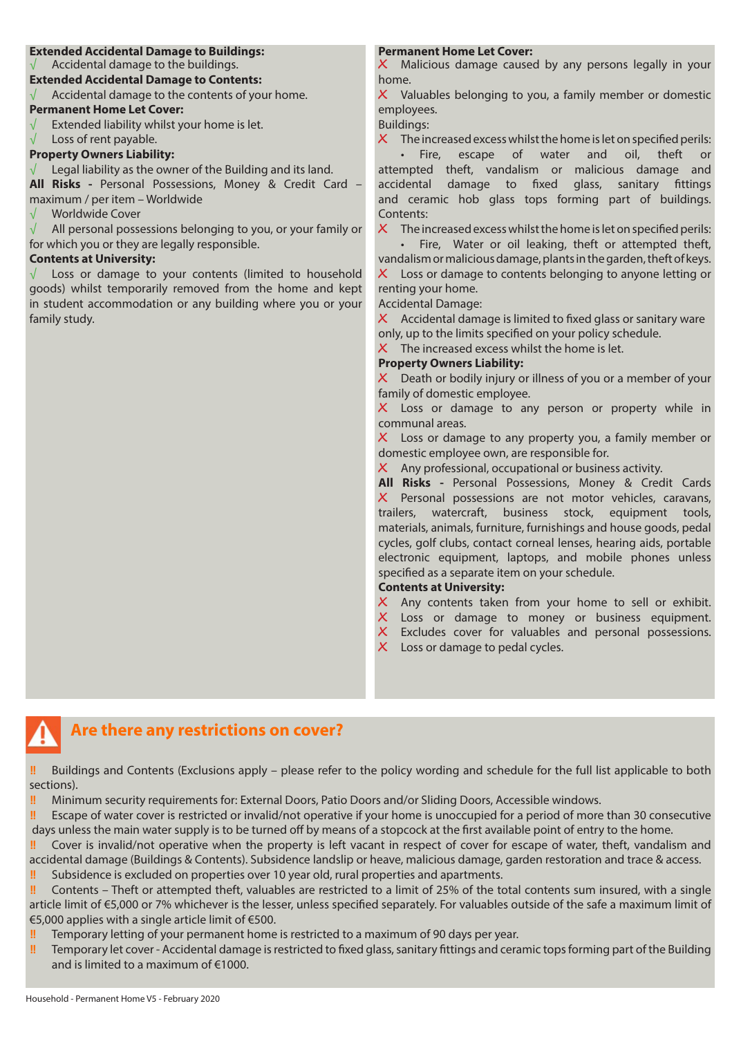#### **Extended Accidental Damage to Buildings:**

Accidental damage to the buildings.

**Extended Accidental Damage to Contents:**

 $\sqrt{\phantom{a}}$  Accidental damage to the contents of your home.

#### **Permanent Home Let Cover:**

 $\sqrt{\phantom{a}}$  Extended liability whilst your home is let.

√ Loss of rent payable.

#### **Property Owners Liability:**

Legal liability as the owner of the Building and its land.

**All Risks -** Personal Possessions, Money & Credit Card – maximum / per item – Worldwide

√ Worldwide Cover

 $\sqrt{\phantom{a}}$  All personal possessions belonging to you, or your family or for which you or they are legally responsible.

#### **Contents at University:**

 $\sqrt{ }$  Loss or damage to your contents (limited to household goods) whilst temporarily removed from the home and kept in student accommodation or any building where you or your family study.

#### **Permanent Home Let Cover:**

**،** Malicious damage caused by any persons legally in your home.

**،** Valuables belonging to you, a family member or domestic employees.

Buildings:

**،** The increased excess whilst the home is let on specified perils:

• Fire, escape of water and oil, theft or attempted theft, vandalism or malicious damage and accidental damage to fixed glass, sanitary fittings and ceramic hob glass tops forming part of buildings. Contents:

**،** The increased excess whilst the home is let on specified perils:

• Fire, Water or oil leaking, theft or attempted theft, vandalism or malicious damage, plants in the garden, theft of keys. **،** Loss or damage to contents belonging to anyone letting or renting your home.

Accidental Damage:

**،** Accidental damage is limited to fixed glass or sanitary ware only, up to the limits specified on your policy schedule.

X The increased excess whilst the home is let.

#### **Property Owners Liability:**

**،** Death or bodily injury or illness of you or a member of your family of domestic employee.

**،** Loss or damage to any person or property while in communal areas.

**،** Loss or damage to any property you, a family member or domestic employee own, are responsible for.

**،** Any professional, occupational or business activity.

**All Risks -** Personal Possessions, Money & Credit Cards **،** Personal possessions are not motor vehicles, caravans, trailers, watercraft, business stock, equipment tools, materials, animals, furniture, furnishings and house goods, pedal cycles, golf clubs, contact corneal lenses, hearing aids, portable electronic equipment, laptops, and mobile phones unless specified as a separate item on your schedule.

#### **Contents at University:**

**،** Any contents taken from your home to sell or exhibit.

- **،** Loss or damage to money or business equipment.
- **،** Excludes cover for valuables and personal possessions.
- **X** Loss or damage to pedal cycles.

## **Are there any restrictions on cover?**

**‼** Buildings and Contents (Exclusions apply – please refer to the policy wording and schedule for the full list applicable to both sections).

**‼** Minimum security requirements for: External Doors, Patio Doors and/or Sliding Doors, Accessible windows.

**‼** Escape of water cover is restricted or invalid/not operative if your home is unoccupied for a period of more than 30 consecutive days unless the main water supply is to be turned off by means of a stopcock at the first available point of entry to the home.

**‼** Cover is invalid/not operative when the property is left vacant in respect of cover for escape of water, theft, vandalism and accidental damage (Buildings & Contents). Subsidence landslip or heave, malicious damage, garden restoration and trace & access.

**‼** Subsidence is excluded on properties over 10 year old, rural properties and apartments.

**‼** Contents – Theft or attempted theft, valuables are restricted to a limit of 25% of the total contents sum insured, with a single article limit of €5,000 or 7% whichever is the lesser, unless specified separately. For valuables outside of the safe a maximum limit of €5,000 applies with a single article limit of €500.

**‼** Temporary letting of your permanent home is restricted to a maximum of 90 days per year.

**‼** Temporary let cover - Accidental damage is restricted to fixed glass, sanitary fittings and ceramic tops forming part of the Building and is limited to a maximum of €1000.